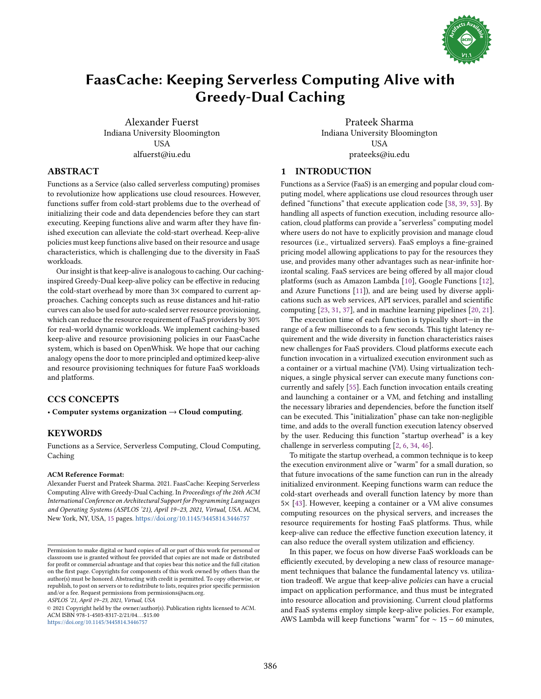

# <span id="page-0-0"></span>FaasCache: Keeping Serverless Computing Alive with Greedy-Dual Caching

Alexander Fuerst Indiana University Bloomington **USA** alfuerst@iu.edu

Prateek Sharma Indiana University Bloomington **USA** prateeks@iu.edu

#### 1 INTRODUCTION

Functions as a Service (FaaS) is an emerging and popular cloud computing model, where applications use cloud resources through user defined "functions" that execute application code [\[38,](#page-14-0) [39,](#page-14-1) [53\]](#page-14-2). By handling all aspects of function execution, including resource allocation, cloud platforms can provide a "serverless" computing model where users do not have to explicitly provision and manage cloud resources (i.e., virtualized servers). FaaS employs a fine-grained pricing model allowing applications to pay for the resources they use, and provides many other advantages such as near-infinite horizontal scaling. FaaS services are being offered by all major cloud platforms (such as Amazon Lambda [\[10\]](#page-13-0), Google Functions [\[12\]](#page-13-1), and Azure Functions [\[11\]](#page-13-2)), and are being used by diverse applications such as web services, API services, parallel and scientific computing [\[23,](#page-13-3) [31,](#page-14-3) [37\]](#page-14-4), and in machine learning pipelines [\[20,](#page-13-4) [21\]](#page-13-5).

The execution time of each function is typically short-in the range of a few milliseconds to a few seconds. This tight latency requirement and the wide diversity in function characteristics raises new challenges for FaaS providers. Cloud platforms execute each function invocation in a virtualized execution environment such as a container or a virtual machine (VM). Using virtualization techniques, a single physical server can execute many functions concurrently and safely [\[55\]](#page-14-5). Each function invocation entails creating and launching a container or a VM, and fetching and installing the necessary libraries and dependencies, before the function itself can be executed. This "initialization" phase can take non-negligible time, and adds to the overall function execution latency observed by the user. Reducing this function "startup overhead" is a key challenge in serverless computing [\[2,](#page-13-6) [6,](#page-13-7) [34,](#page-14-6) [46\]](#page-14-7).

To mitigate the startup overhead, a common technique is to keep the execution environment alive or "warm" for a small duration, so that future invocations of the same function can run in the already initialized environment. Keeping functions warm can reduce the cold-start overheads and overall function latency by more than 5× [\[43\]](#page-14-8). However, keeping a container or a VM alive consumes computing resources on the physical servers, and increases the resource requirements for hosting FaaS platforms. Thus, while keep-alive can reduce the effective function execution latency, it can also reduce the overall system utilization and efficiency.

In this paper, we focus on how diverse FaaS workloads can be efficiently executed, by developing a new class of resource management techniques that balance the fundamental latency vs. utilization tradeoff. We argue that keep-alive policies can have a crucial impact on application performance, and thus must be integrated into resource allocation and provisioning. Current cloud platforms and FaaS systems employ simple keep-alive policies. For example, AWS Lambda will keep functions "warm" for  $\sim 15 - 60$  minutes,

### ABSTRACT

Functions as a Service (also called serverless computing) promises to revolutionize how applications use cloud resources. However, functions suffer from cold-start problems due to the overhead of initializing their code and data dependencies before they can start executing. Keeping functions alive and warm after they have finished execution can alleviate the cold-start overhead. Keep-alive policies must keep functions alive based on their resource and usage characteristics, which is challenging due to the diversity in FaaS workloads.

Our insight is that keep-alive is analogous to caching. Our cachinginspired Greedy-Dual keep-alive policy can be effective in reducing the cold-start overhead by more than 3× compared to current approaches. Caching concepts such as reuse distances and hit-ratio curves can also be used for auto-scaled server resource provisioning, which can reduce the resource requirement of FaaS providers by 30% for real-world dynamic workloads. We implement caching-based keep-alive and resource provisioning policies in our FaasCache system, which is based on OpenWhisk. We hope that our caching analogy opens the door to more principled and optimized keep-alive and resource provisioning techniques for future FaaS workloads and platforms.

# CCS CONCEPTS

• Computer systems organization  $\rightarrow$  Cloud computing.

#### **KEYWORDS**

Functions as a Service, Serverless Computing, Cloud Computing, Caching

#### ACM Reference Format:

Alexander Fuerst and Prateek Sharma. 2021. FaasCache: Keeping Serverless Computing Alive with Greedy-Dual Caching. In Proceedings of the 26th ACM International Conference on Architectural Support for Programming Languages and Operating Systems (ASPLOS '21), April 19-23, 2021, Virtual, USA. ACM, New York, NY, USA, [15](#page-0-0) pages. <https://doi.org/10.1145/3445814.3446757>

ASPLOS '21, April 19-23, 2021, Virtual, USA

© 2021 Copyright held by the owner/author(s). Publication rights licensed to ACM. ACM ISBN 978-1-4503-8317-2/21/04. . . \$15.00 <https://doi.org/10.1145/3445814.3446757>

Permission to make digital or hard copies of all or part of this work for personal or classroom use is granted without fee provided that copies are not made or distributed for profit or commercial advantage and that copies bear this notice and the full citation on the first page. Copyrights for components of this work owned by others than the author(s) must be honored. Abstracting with credit is permitted. To copy otherwise, or republish, to post on servers or to redistribute to lists, requires prior specific permission and/or a fee. Request permissions from permissions@acm.org.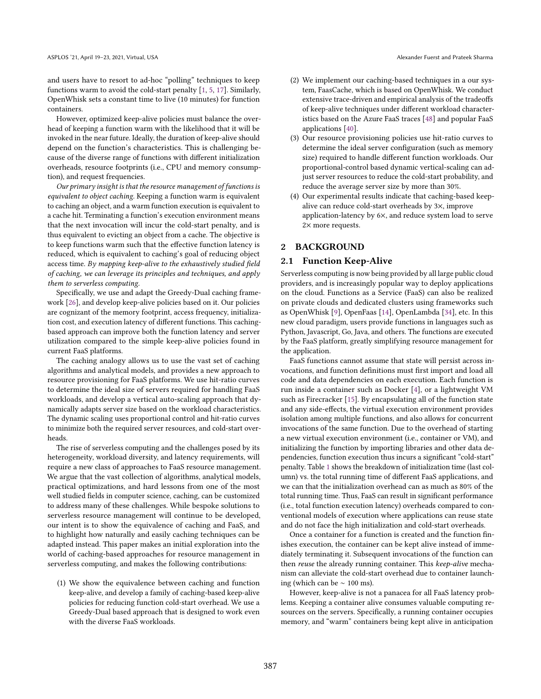and users have to resort to ad-hoc "polling" techniques to keep functions warm to avoid the cold-start penalty [\[1,](#page-13-8) [5,](#page-13-9) [17\]](#page-13-10). Similarly, OpenWhisk sets a constant time to live (10 minutes) for function containers.

However, optimized keep-alive policies must balance the overhead of keeping a function warm with the likelihood that it will be invoked in the near future. Ideally, the duration of keep-alive should depend on the function's characteristics. This is challenging because of the diverse range of functions with different initialization overheads, resource footprints (i.e., CPU and memory consumption), and request frequencies.

Our primary insight is that the resource management of functions is equivalent to object caching. Keeping a function warm is equivalent to caching an object, and a warm function execution is equivalent to a cache hit. Terminating a function's execution environment means that the next invocation will incur the cold-start penalty, and is thus equivalent to evicting an object from a cache. The objective is to keep functions warm such that the effective function latency is reduced, which is equivalent to caching's goal of reducing object access time. By mapping keep-alive to the exhaustively studied field of caching, we can leverage its principles and techniques, and apply them to serverless computing.

Specifically, we use and adapt the Greedy-Dual caching framework [\[26\]](#page-14-9), and develop keep-alive policies based on it. Our policies are cognizant of the memory footprint, access frequency, initialization cost, and execution latency of different functions. This cachingbased approach can improve both the function latency and server utilization compared to the simple keep-alive policies found in current FaaS platforms.

The caching analogy allows us to use the vast set of caching algorithms and analytical models, and provides a new approach to resource provisioning for FaaS platforms. We use hit-ratio curves to determine the ideal size of servers required for handling FaaS workloads, and develop a vertical auto-scaling approach that dynamically adapts server size based on the workload characteristics. The dynamic scaling uses proportional control and hit-ratio curves to minimize both the required server resources, and cold-start overheads.

The rise of serverless computing and the challenges posed by its heterogeneity, workload diversity, and latency requirements, will require a new class of approaches to FaaS resource management. We argue that the vast collection of algorithms, analytical models, practical optimizations, and hard lessons from one of the most well studied fields in computer science, caching, can be customized to address many of these challenges. While bespoke solutions to serverless resource management will continue to be developed, our intent is to show the equivalence of caching and FaaS, and to highlight how naturally and easily caching techniques can be adapted instead. This paper makes an initial exploration into the world of caching-based approaches for resource management in serverless computing, and makes the following contributions:

(1) We show the equivalence between caching and function keep-alive, and develop a family of caching-based keep-alive policies for reducing function cold-start overhead. We use a Greedy-Dual based approach that is designed to work even with the diverse FaaS workloads.

- (2) We implement our caching-based techniques in a our system, FaasCache, which is based on OpenWhisk. We conduct extensive trace-driven and empirical analysis of the tradeoffs of keep-alive techniques under different workload characteristics based on the Azure FaaS traces [\[48\]](#page-14-10) and popular FaaS applications [\[40\]](#page-14-11).
- (3) Our resource provisioning policies use hit-ratio curves to determine the ideal server configuration (such as memory size) required to handle different function workloads. Our proportional-control based dynamic vertical-scaling can adjust server resources to reduce the cold-start probability, and reduce the average server size by more than 30%.
- (4) Our experimental results indicate that caching-based keepalive can reduce cold-start overheads by 3×, improve application-latency by 6×, and reduce system load to serve 2× more requests.

#### <span id="page-1-0"></span>2 BACKGROUND

#### 2.1 Function Keep-Alive

Serverless computing is now being provided by all large public cloud providers, and is increasingly popular way to deploy applications on the cloud. Functions as a Service (FaaS) can also be realized on private clouds and dedicated clusters using frameworks such as OpenWhisk [\[9\]](#page-13-11), OpenFaas [\[14\]](#page-13-12), OpenLambda [\[34\]](#page-14-6), etc. In this new cloud paradigm, users provide functions in languages such as Python, Javascript, Go, Java, and others. The functions are executed by the FaaS platform, greatly simplifying resource management for the application.

FaaS functions cannot assume that state will persist across invocations, and function definitions must first import and load all code and data dependencies on each execution. Each function is run inside a container such as Docker [\[4\]](#page-13-13), or a lightweight VM such as Firecracker [\[15\]](#page-13-14). By encapsulating all of the function state and any side-effects, the virtual execution environment provides isolation among multiple functions, and also allows for concurrent invocations of the same function. Due to the overhead of starting a new virtual execution environment (i.e., container or VM), and initializing the function by importing libraries and other data dependencies, function execution thus incurs a significant "cold-start" penalty. Table [1](#page-2-0) shows the breakdown of initialization time (last column) vs. the total running time of different FaaS applications, and we can that the initialization overhead can as much as 80% of the total running time. Thus, FaaS can result in significant performance (i.e., total function execution latency) overheads compared to conventional models of execution where applications can reuse state and do not face the high initialization and cold-start overheads.

Once a container for a function is created and the function finishes execution, the container can be kept alive instead of immediately terminating it. Subsequent invocations of the function can then reuse the already running container. This keep-alive mechanism can alleviate the cold-start overhead due to container launching (which can be ∼ 100 ms).

However, keep-alive is not a panacea for all FaaS latency problems. Keeping a container alive consumes valuable computing resources on the servers. Specifically, a running container occupies memory, and "warm" containers being kept alive in anticipation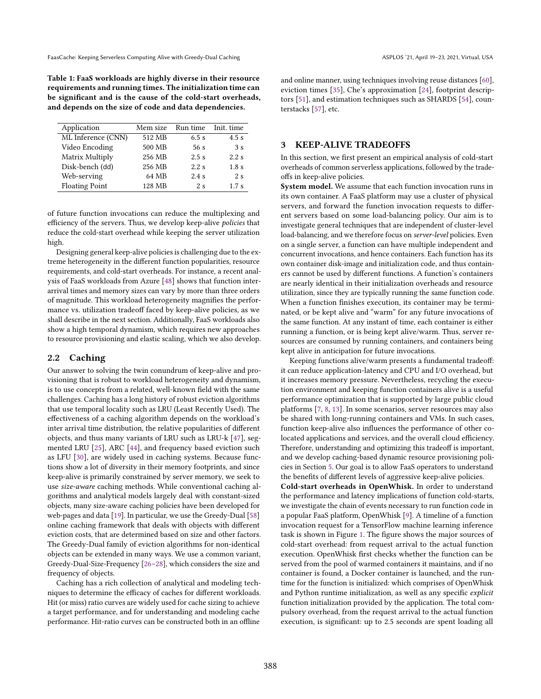<span id="page-2-0"></span>Table 1: FaaS workloads are highly diverse in their resource requirements and running times. The initialization time can be significant and is the cause of the cold-start overheads, and depends on the size of code and data dependencies.

| Application           | Mem size | Run time | Init. time       |
|-----------------------|----------|----------|------------------|
| ML Inference (CNN)    | 512 MB   | $6.5$ s  | 4.5s             |
| Video Encoding        | 500 MB   | 56 s     | 3s               |
| Matrix Multiply       | 256 MB   | 2.5s     | 2.2s             |
| Disk-bench (dd)       | 256 MB   | $2.2$ s  | 1.8 <sub>s</sub> |
| Web-serving           | 64 MB    | 2.4s     | 2s               |
| <b>Floating Point</b> | 128 MB   | 2s       | 1.7s             |

of future function invocations can reduce the multiplexing and efficiency of the servers. Thus, we develop keep-alive policies that reduce the cold-start overhead while keeping the server utilization high.

Designing general keep-alive policies is challenging due to the extreme heterogeneity in the different function popularities, resource requirements, and cold-start overheads. For instance, a recent analysis of FaaS workloads from Azure [\[48\]](#page-14-10) shows that function interarrival times and memory sizes can vary by more than three orders of magnitude. This workload heterogeneity magnifies the performance vs. utilization tradeoff faced by keep-alive policies, as we shall describe in the next section. Additionally, FaaS workloads also show a high temporal dynamism, which requires new approaches to resource provisioning and elastic scaling, which we also develop.

#### 2.2 Caching

Our answer to solving the twin conundrum of keep-alive and provisioning that is robust to workload heterogeneity and dynamism, is to use concepts from a related, well-known field with the same challenges. Caching has a long history of robust eviction algorithms that use temporal locality such as LRU (Least Recently Used). The effectiveness of a caching algorithm depends on the workload's inter arrival time distribution, the relative popularities of different objects, and thus many variants of LRU such as LRU-k [\[47\]](#page-14-12), segmented LRU [\[25\]](#page-14-13), ARC [\[44\]](#page-14-14), and frequency based eviction such as LFU [\[30\]](#page-14-15), are widely used in caching systems. Because functions show a lot of diversity in their memory footprints, and since keep-alive is primarily constrained by server memory, we seek to use size-aware caching methods. While conventional caching algorithms and analytical models largely deal with constant-sized objects, many size-aware caching policies have been developed for web-pages and data [\[19\]](#page-13-15). In particular, we use the Greedy-Dual [\[58\]](#page-14-16) online caching framework that deals with objects with different eviction costs, that are determined based on size and other factors. The Greedy-Dual family of eviction algorithms for non-identical objects can be extended in many ways. We use a common variant, Greedy-Dual-Size-Frequency [\[26](#page-14-9)-28], which considers the size and frequency of objects.

Caching has a rich collection of analytical and modeling techniques to determine the efficacy of caches for different workloads. Hit (or miss) ratio curves are widely used for cache sizing to achieve a target performance, and for understanding and modeling cache performance. Hit-ratio curves can be constructed both in an offline

and online manner, using techniques involving reuse distances [\[60\]](#page-14-18), eviction times [\[35\]](#page-14-19), Che's approximation [\[24\]](#page-14-20), footprint descriptors [\[51\]](#page-14-21), and estimation techniques such as SHARDS [\[54\]](#page-14-22), counterstacks [\[57\]](#page-14-23), etc.

#### 3 KEEP-ALIVE TRADEOFFS

In this section, we first present an empirical analysis of cold-start overheads of common serverless applications, followed by the tradeoffs in keep-alive policies.

System model. We assume that each function invocation runs in its own container. A FaaS platform may use a cluster of physical servers, and forward the function invocation requests to different servers based on some load-balancing policy. Our aim is to investigate general techniques that are independent of cluster-level load-balancing, and we therefore focus on server-level policies. Even on a single server, a function can have multiple independent and concurrent invocations, and hence containers. Each function has its own container disk-image and initialization code, and thus containers cannot be used by different functions. A function's containers are nearly identical in their initialization overheads and resource utilization, since they are typically running the same function code. When a function finishes execution, its container may be terminated, or be kept alive and "warm" for any future invocations of the same function. At any instant of time, each container is either running a function, or is being kept alive/warm. Thus, server resources are consumed by running containers, and containers being kept alive in anticipation for future invocations.

Keeping functions alive/warm presents a fundamental tradeoff: it can reduce application-latency and CPU and I/O overhead, but it increases memory pressure. Nevertheless, recycling the execution environment and keeping function containers alive is a useful performance optimization that is supported by large public cloud platforms [\[7,](#page-13-16) [8,](#page-13-17) [13\]](#page-13-18). In some scenarios, server resources may also be shared with long-running containers and VMs. In such cases, function keep-alive also influences the performance of other colocated applications and services, and the overall cloud efficiency. Therefore, understanding and optimizing this tradeoff is important, and we develop caching-based dynamic resource provisioning policies in Section [5.](#page-5-0) Our goal is to allow FaaS operators to understand the benefits of different levels of aggressive keep-alive policies.

Cold-start overheads in OpenWhisk. In order to understand the performance and latency implications of function cold-starts, we investigate the chain of events necessary to run function code in a popular FaaS platform, OpenWhisk [\[9\]](#page-13-11). A timeline of a function invocation request for a TensorFlow machine learning inference task is shown in Figure [1.](#page-3-0) The figure shows the major sources of cold-start overhead: from request arrival to the actual function execution. OpenWhisk first checks whether the function can be served from the pool of warmed containers it maintains, and if no container is found, a Docker container is launched, and the runtime for the function is initialized: which comprises of OpenWhisk and Python runtime initialization, as well as any specific explicit function initialization provided by the application. The total compulsory overhead, from the request arrival to the actual function execution, is significant: up to 2.5 seconds are spent loading all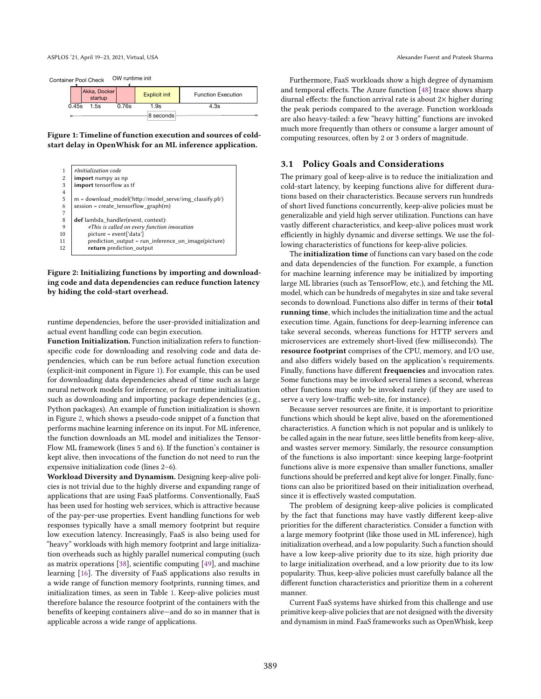#### <span id="page-3-0"></span>Figure 1: Timeline of function execution and sources of coldstart delay in OpenWhisk for an ML inference application.

<span id="page-3-1"></span>

Figure 2: Initializing functions by importing and downloading code and data dependencies can reduce function latency by hiding the cold-start overhead.

runtime dependencies, before the user-provided initialization and actual event handling code can begin execution.

Function Initialization. Function initialization refers to functionspecific code for downloading and resolving code and data dependencies, which can be run before actual function execution (explicit-init component in Figure [1\)](#page-3-0). For example, this can be used for downloading data dependencies ahead of time such as large neural network models for inference, or for runtime initialization such as downloading and importing package dependencies (e.g., Python packages). An example of function initialization is shown in Figure [2,](#page-3-1) which shows a pseudo-code snippet of a function that performs machine learning inference on its input. For ML inference, the function downloads an ML model and initializes the Tensor-Flow ML framework (lines 5 and 6). If the function's container is kept alive, then invocations of the function do not need to run the expensive initialization code (lines 2-6).

Workload Diversity and Dynamism. Designing keep-alive policies is not trivial due to the highly diverse and expanding range of applications that are using FaaS platforms. Conventionally, FaaS has been used for hosting web services, which is attractive because of the pay-per-use properties. Event handling functions for web responses typically have a small memory footprint but require low execution latency. Increasingly, FaaS is also being used for łheavyž workloads with high memory footprint and large initialization overheads such as highly parallel numerical computing (such as matrix operations [\[38\]](#page-14-0), scientific computing [\[49\]](#page-14-24), and machine learning [\[16\]](#page-13-19). The diversity of FaaS applications also results in a wide range of function memory footprints, running times, and initialization times, as seen in Table [1.](#page-2-0) Keep-alive policies must therefore balance the resource footprint of the containers with the benefits of keeping containers alive-and do so in manner that is applicable across a wide range of applications.

Furthermore, FaaS workloads show a high degree of dynamism and temporal effects. The Azure function [\[48\]](#page-14-10) trace shows sharp diurnal effects: the function arrival rate is about  $2\times$  higher during the peak periods compared to the average. Function workloads are also heavy-tailed: a few "heavy hitting" functions are invoked much more frequently than others or consume a larger amount of computing resources, often by 2 or 3 orders of magnitude.

#### 3.1 Policy Goals and Considerations

The primary goal of keep-alive is to reduce the initialization and cold-start latency, by keeping functions alive for different durations based on their characteristics. Because servers run hundreds of short lived functions concurrently, keep-alive policies must be generalizable and yield high server utilization. Functions can have vastly different characteristics, and keep-alive polices must work efficiently in highly dynamic and diverse settings. We use the following characteristics of functions for keep-alive policies.

The initialization time of functions can vary based on the code and data dependencies of the function. For example, a function for machine learning inference may be initialized by importing large ML libraries (such as TensorFlow, etc.), and fetching the ML model, which can be hundreds of megabytes in size and take several seconds to download. Functions also differ in terms of their **total** running time, which includes the initialization time and the actual execution time. Again, functions for deep-learning inference can take several seconds, whereas functions for HTTP servers and microservices are extremely short-lived (few milliseconds). The resource footprint comprises of the CPU, memory, and I/O use, and also differs widely based on the application's requirements. Finally, functions have different frequencies and invocation rates. Some functions may be invoked several times a second, whereas other functions may only be invoked rarely (if they are used to serve a very low-traffic web-site, for instance).

Because server resources are finite, it is important to prioritize functions which should be kept alive, based on the aforementioned characteristics. A function which is not popular and is unlikely to be called again in the near future, sees little benefits from keep-alive, and wastes server memory. Similarly, the resource consumption of the functions is also important: since keeping large-footprint functions alive is more expensive than smaller functions, smaller functions should be preferred and kept alive for longer. Finally, functions can also be prioritized based on their initialization overhead, since it is effectively wasted computation.

The problem of designing keep-alive policies is complicated by the fact that functions may have vastly different keep-alive priorities for the different characteristics. Consider a function with a large memory footprint (like those used in ML inference), high initialization overhead, and a low popularity. Such a function should have a low keep-alive priority due to its size, high priority due to large initialization overhead, and a low priority due to its low popularity. Thus, keep-alive policies must carefully balance all the different function characteristics and prioritize them in a coherent manner.

Current FaaS systems have shirked from this challenge and use primitive keep-alive policies that are not designed with the diversity and dynamism in mind. FaaS frameworks such as OpenWhisk, keep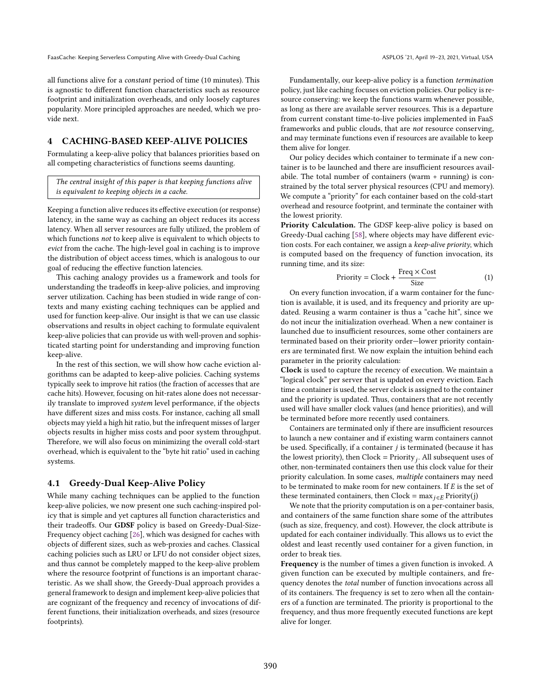all functions alive for a constant period of time (10 minutes). This is agnostic to different function characteristics such as resource footprint and initialization overheads, and only loosely captures popularity. More principled approaches are needed, which we provide next.

# 4 CACHING-BASED KEEP-ALIVE POLICIES

Formulating a keep-alive policy that balances priorities based on all competing characteristics of functions seems daunting.

The central insight of this paper is that keeping functions alive is equivalent to keeping objects in a cache.

Keeping a function alive reduces its effective execution (or response) latency, in the same way as caching an object reduces its access latency. When all server resources are fully utilized, the problem of which functions not to keep alive is equivalent to which objects to evict from the cache. The high-level goal in caching is to improve the distribution of object access times, which is analogous to our goal of reducing the effective function latencies.

This caching analogy provides us a framework and tools for understanding the tradeoffs in keep-alive policies, and improving server utilization. Caching has been studied in wide range of contexts and many existing caching techniques can be applied and used for function keep-alive. Our insight is that we can use classic observations and results in object caching to formulate equivalent keep-alive policies that can provide us with well-proven and sophisticated starting point for understanding and improving function keep-alive.

In the rest of this section, we will show how cache eviction algorithms can be adapted to keep-alive policies. Caching systems typically seek to improve hit ratios (the fraction of accesses that are cache hits). However, focusing on hit-rates alone does not necessarily translate to improved system level performance, if the objects have different sizes and miss costs. For instance, caching all small objects may yield a high hit ratio, but the infrequent misses of larger objects results in higher miss costs and poor system throughput. Therefore, we will also focus on minimizing the overall cold-start overhead, which is equivalent to the "byte hit ratio" used in caching systems.

#### <span id="page-4-1"></span>4.1 Greedy-Dual Keep-Alive Policy

While many caching techniques can be applied to the function keep-alive policies, we now present one such caching-inspired policy that is simple and yet captures all function characteristics and their tradeoffs. Our GDSF policy is based on Greedy-Dual-Size-Frequency object caching [\[26\]](#page-14-9), which was designed for caches with objects of different sizes, such as web-proxies and caches. Classical caching policies such as LRU or LFU do not consider object sizes, and thus cannot be completely mapped to the keep-alive problem where the resource footprint of functions is an important characteristic. As we shall show, the Greedy-Dual approach provides a general framework to design and implement keep-alive policies that are cognizant of the frequency and recency of invocations of different functions, their initialization overheads, and sizes (resource footprints).

Fundamentally, our keep-alive policy is a function termination policy, just like caching focuses on eviction policies. Our policy is resource conserving: we keep the functions warm whenever possible, as long as there are available server resources. This is a departure from current constant time-to-live policies implemented in FaaS frameworks and public clouds, that are not resource conserving, and may terminate functions even if resources are available to keep them alive for longer.

Our policy decides which container to terminate if a new container is to be launched and there are insufficient resources availabile. The total number of containers (warm + running) is constrained by the total server physical resources (CPU and memory). We compute a "priority" for each container based on the cold-start overhead and resource footprint, and terminate the container with the lowest priority.

Priority Calculation. The GDSF keep-alive policy is based on Greedy-Dual caching [\[58\]](#page-14-16), where objects may have different eviction costs. For each container, we assign a keep-alive priority, which is computed based on the frequency of function invocation, its running time, and its size:

<span id="page-4-0"></span>
$$
Priority = clock + \frac{Freq \times Cost}{Size} \tag{1}
$$

On every function invocation, if a warm container for the function is available, it is used, and its frequency and priority are updated. Reusing a warm container is thus a "cache hit", since we do not incur the initialization overhead. When a new container is launched due to insufficient resources, some other containers are terminated based on their priority order-lower priority containers are terminated first. We now explain the intuition behind each parameter in the priority calculation:

Clock is used to capture the recency of execution. We maintain a "logical clock" per server that is updated on every eviction. Each time a container is used, the server clock is assigned to the container and the priority is updated. Thus, containers that are not recently used will have smaller clock values (and hence priorities), and will be terminated before more recently used containers.

Containers are terminated only if there are insufficient resources to launch a new container and if existing warm containers cannot be used. Specifically, if a container  $j$  is terminated (because it has the lowest priority), then  $Clock = Priority_j$ . All subsequent uses of other, non-terminated containers then use this clock value for their priority calculation. In some cases, multiple containers may need to be terminated to make room for new containers. If  $E$  is the set of these terminated containers, then Clock =  $\max_{i \in E}$  Priority(j)

We note that the priority computation is on a per-container basis, and containers of the same function share some of the attributes (such as size, frequency, and cost). However, the clock attribute is updated for each container individually. This allows us to evict the oldest and least recently used container for a given function, in order to break ties.

Frequency is the number of times a given function is invoked. A given function can be executed by multiple containers, and frequency denotes the total number of function invocations across all of its containers. The frequency is set to zero when all the containers of a function are terminated. The priority is proportional to the frequency, and thus more frequently executed functions are kept alive for longer.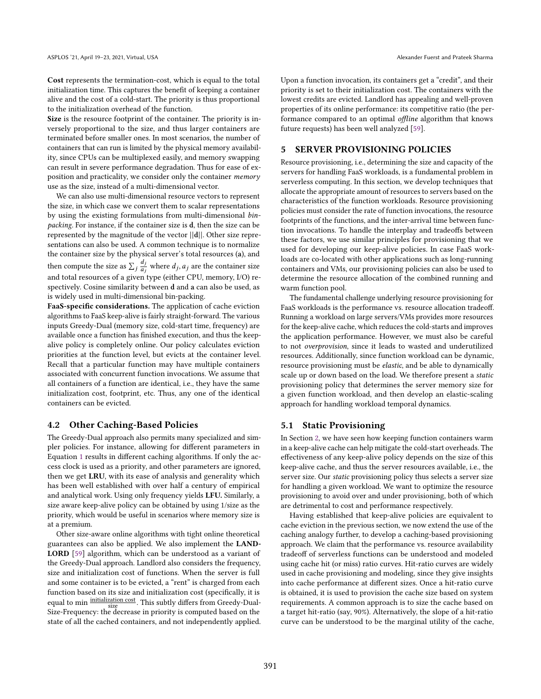Cost represents the termination-cost, which is equal to the total initialization time. This captures the benefit of keeping a container alive and the cost of a cold-start. The priority is thus proportional to the initialization overhead of the function.

Size is the resource footprint of the container. The priority is inversely proportional to the size, and thus larger containers are terminated before smaller ones. In most scenarios, the number of containers that can run is limited by the physical memory availability, since CPUs can be multiplexed easily, and memory swapping can result in severe performance degradation. Thus for ease of exposition and practicality, we consider only the container memory use as the size, instead of a multi-dimensional vector.

We can also use multi-dimensional resource vectors to represent the size, in which case we convert them to scalar representations by using the existing formulations from multi-dimensional binpacking. For instance, if the container size is d, then the size can be represented by the magnitude of the vector ||d||. Other size representations can also be used. A common technique is to normalize the container size by the physical server's total resources (a), and then compute the size as  $\sum_j \frac{d_j}{a_j}$  $\frac{a_j}{a_j}$  where  $d_j$ ,  $a_j$  are the container size and total resources of a given type (either CPU, memory, I/O) respectively. Cosine similarity between d and a can also be used, as is widely used in multi-dimensional bin-packing.

FaaS-specific considerations. The application of cache eviction algorithms to FaaS keep-alive is fairly straight-forward. The various inputs Greedy-Dual (memory size, cold-start time, frequency) are available once a function has finished execution, and thus the keepalive policy is completely online. Our policy calculates eviction priorities at the function level, but evicts at the container level. Recall that a particular function may have multiple containers associated with concurrent function invocations. We assume that all containers of a function are identical, i.e., they have the same initialization cost, footprint, etc. Thus, any one of the identical containers can be evicted.

#### <span id="page-5-1"></span>4.2 Other Caching-Based Policies

The Greedy-Dual approach also permits many specialized and simpler policies. For instance, allowing for different parameters in Equation [1](#page-4-0) results in different caching algorithms. If only the access clock is used as a priority, and other parameters are ignored, then we get LRU, with its ease of analysis and generality which has been well established with over half a century of empirical and analytical work. Using only frequency yields LFU. Similarly, a size aware keep-alive policy can be obtained by using 1/size as the priority, which would be useful in scenarios where memory size is at a premium.

Other size-aware online algorithms with tight online theoretical guarantees can also be applied. We also implement the LAND-LORD [\[59\]](#page-14-25) algorithm, which can be understood as a variant of the Greedy-Dual approach. Landlord also considers the frequency, size and initialization cost of functions. When the server is full and some container is to be evicted, a "rent" is charged from each function based on its size and initialization cost (specifically, it is equal to min initialization cost This subtly differs from Greedy-Dual-Size-Frequency: the decrease in priority is computed based on the state of all the cached containers, and not independently applied. Upon a function invocation, its containers get a "credit", and their priority is set to their initialization cost. The containers with the lowest credits are evicted. Landlord has appealing and well-proven properties of its online performance: its competitive ratio (the performance compared to an optimal offline algorithm that knows future requests) has been well analyzed [\[59\]](#page-14-25).

#### <span id="page-5-0"></span>5 SERVER PROVISIONING POLICIES

Resource provisioning, i.e., determining the size and capacity of the servers for handling FaaS workloads, is a fundamental problem in serverless computing. In this section, we develop techniques that allocate the appropriate amount of resources to servers based on the characteristics of the function workloads. Resource provisioning policies must consider the rate of function invocations, the resource footprints of the functions, and the inter-arrival time between function invocations. To handle the interplay and tradeoffs between these factors, we use similar principles for provisioning that we used for developing our keep-alive policies. In case FaaS workloads are co-located with other applications such as long-running containers and VMs, our provisioning policies can also be used to determine the resource allocation of the combined running and warm function pool.

The fundamental challenge underlying resource provisioning for FaaS workloads is the performance vs. resource allocation tradeoff. Running a workload on large servers/VMs provides more resources for the keep-alive cache, which reduces the cold-starts and improves the application performance. However, we must also be careful to not overprovision, since it leads to wasted and underutilized resources. Additionally, since function workload can be dynamic, resource provisioning must be elastic, and be able to dynamically scale up or down based on the load. We therefore present a static provisioning policy that determines the server memory size for a given function workload, and then develop an elastic-scaling approach for handling workload temporal dynamics.

#### 5.1 Static Provisioning

In Section [2,](#page-1-0) we have seen how keeping function containers warm in a keep-alive cache can help mitigate the cold-start overheads. The effectiveness of any keep-alive policy depends on the size of this keep-alive cache, and thus the server resources available, i.e., the server size. Our static provisioning policy thus selects a server size for handling a given workload. We want to optimize the resource provisioning to avoid over and under provisioning, both of which are detrimental to cost and performance respectively.

Having established that keep-alive policies are equivalent to cache eviction in the previous section, we now extend the use of the caching analogy further, to develop a caching-based provisioning approach. We claim that the performance vs. resource availability tradeoff of serverless functions can be understood and modeled using cache hit (or miss) ratio curves. Hit-ratio curves are widely used in cache provisioning and modeling, since they give insights into cache performance at different sizes. Once a hit-ratio curve is obtained, it is used to provision the cache size based on system requirements. A common approach is to size the cache based on a target hit-ratio (say, 90%). Alternatively, the slope of a hit-ratio curve can be understood to be the marginal utility of the cache,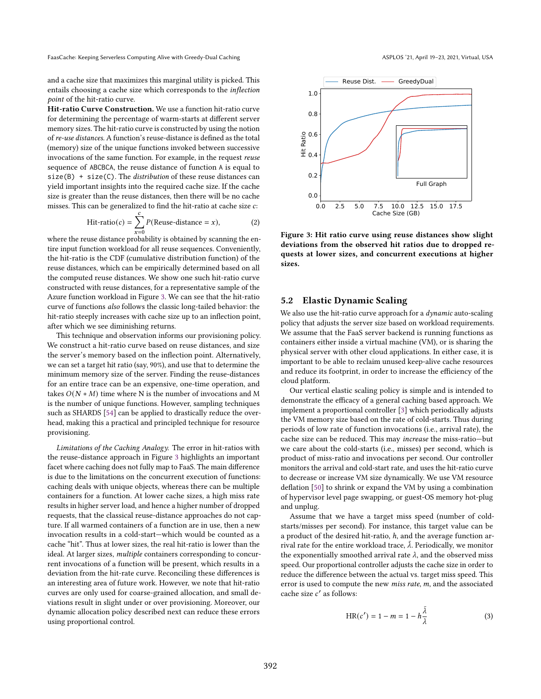and a cache size that maximizes this marginal utility is picked. This entails choosing a cache size which corresponds to the inflection point of the hit-ratio curve.

Hit-ratio Curve Construction. We use a function hit-ratio curve for determining the percentage of warm-starts at different server memory sizes. The hit-ratio curve is constructed by using the notion of re-use distances. A function's reuse-distance is defined as the total (memory) size of the unique functions invoked between successive invocations of the same function. For example, in the request reuse sequence of ABCBCA, the reuse distance of function A is equal to  $size(B) + size(C)$ . The *distribution* of these reuse distances can yield important insights into the required cache size. If the cache size is greater than the reuse distances, then there will be no cache misses. This can be generalized to find the hit-ratio at cache size  $c$ :

$$
Hit-ratio(c) = \sum_{x=0}^{c} P(\text{Reuse-distance} = x), \tag{2}
$$

where the reuse distance probability is obtained by scanning the entire input function workload for all reuse sequences. Conveniently, the hit-ratio is the CDF (cumulative distribution function) of the reuse distances, which can be empirically determined based on all the computed reuse distances. We show one such hit-ratio curve constructed with reuse distances, for a representative sample of the Azure function workload in Figure [3.](#page-6-0) We can see that the hit-ratio curve of functions also follows the classic long-tailed behavior: the hit-ratio steeply increases with cache size up to an inflection point, after which we see diminishing returns.

This technique and observation informs our provisioning policy. We construct a hit-ratio curve based on reuse distances, and size the server's memory based on the inflection point. Alternatively, we can set a target hit ratio (say, 90%), and use that to determine the minimum memory size of the server. Finding the reuse-distances for an entire trace can be an expensive, one-time operation, and takes  $O(N * M)$  time where N is the number of invocations and M is the number of unique functions. However, sampling techniques such as SHARDS [\[54\]](#page-14-22) can be applied to drastically reduce the overhead, making this a practical and principled technique for resource provisioning.

Limitations of the Caching Analogy. The error in hit-ratios with the reuse-distance approach in Figure [3](#page-6-0) highlights an important facet where caching does not fully map to FaaS. The main difference is due to the limitations on the concurrent execution of functions: caching deals with unique objects, whereas there can be multiple containers for a function. At lower cache sizes, a high miss rate results in higher server load, and hence a higher number of dropped requests, that the classical reuse-distance approaches do not capture. If all warmed containers of a function are in use, then a new invocation results in a cold-start-which would be counted as a cache "hit". Thus at lower sizes, the real hit-ratio is lower than the ideal. At larger sizes, multiple containers corresponding to concurrent invocations of a function will be present, which results in a deviation from the hit-rate curve. Reconciling these differences is an interesting area of future work. However, we note that hit-ratio curves are only used for coarse-grained allocation, and small deviations result in slight under or over provisioning. Moreover, our dynamic allocation policy described next can reduce these errors using proportional control.

<span id="page-6-0"></span>

Figure 3: Hit ratio curve using reuse distances show slight deviations from the observed hit ratios due to dropped requests at lower sizes, and concurrent executions at higher sizes.

#### <span id="page-6-1"></span>5.2 Elastic Dynamic Scaling

We also use the hit-ratio curve approach for a *dynamic* auto-scaling policy that adjusts the server size based on workload requirements. We assume that the FaaS server backend is running functions as containers either inside a virtual machine (VM), or is sharing the physical server with other cloud applications. In either case, it is important to be able to reclaim unused keep-alive cache resources and reduce its footprint, in order to increase the efficiency of the cloud platform.

Our vertical elastic scaling policy is simple and is intended to demonstrate the efficacy of a general caching based approach. We implement a proportional controller [\[3\]](#page-13-20) which periodically adjusts the VM memory size based on the rate of cold-starts. Thus during periods of low rate of function invocations (i.e., arrival rate), the cache size can be reduced. This may increase the miss-ratio-but we care about the cold-starts (i.e., misses) per second, which is product of miss-ratio and invocations per second. Our controller monitors the arrival and cold-start rate, and uses the hit-ratio curve to decrease or increase VM size dynamically. We use VM resource deflation [\[50\]](#page-14-26) to shrink or expand the VM by using a combination of hypervisor level page swapping, or guest-OS memory hot-plug and unplug.

Assume that we have a target miss speed (number of coldstarts/misses per second). For instance, this target value can be a product of the desired hit-ratio,  $h$ , and the average function arrival rate for the entire workload trace,  $\overline{\lambda}$ . Periodically, we monitor the exponentially smoothed arrival rate  $\lambda$ , and the observed miss speed. Our proportional controller adjusts the cache size in order to reduce the difference between the actual vs. target miss speed. This error is used to compute the new *miss rate*,  $m$ , and the associated cache size  $c'$  as follows:

$$
HR(c') = 1 - m = 1 - h\frac{\bar{\lambda}}{\lambda}
$$
 (3)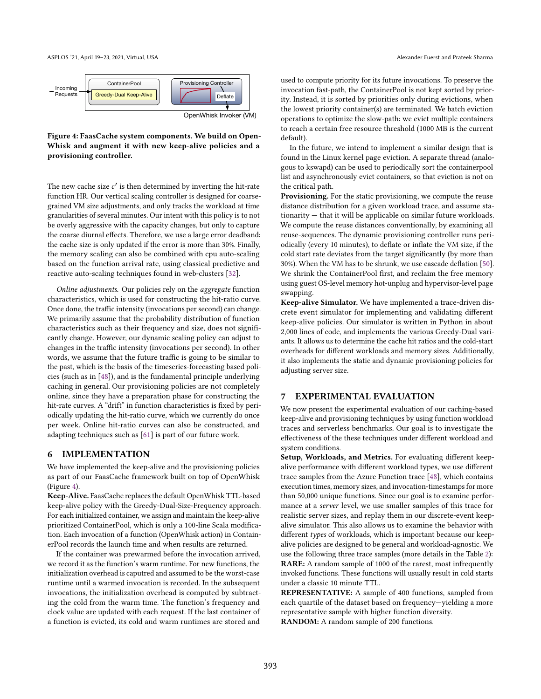<span id="page-7-0"></span>

Figure 4: FaasCache system components. We build on Open-Whisk and augment it with new keep-alive policies and a provisioning controller.

The new cache size  $c'$  is then determined by inverting the hit-rate function HR. Our vertical scaling controller is designed for coarsegrained VM size adjustments, and only tracks the workload at time granularities of several minutes. Our intent with this policy is to not be overly aggressive with the capacity changes, but only to capture the coarse diurnal effects. Therefore, we use a large error deadband: the cache size is only updated if the error is more than 30%. Finally, the memory scaling can also be combined with cpu auto-scaling based on the function arrival rate, using classical predictive and reactive auto-scaling techniques found in web-clusters [\[32\]](#page-14-27).

Online adjustments. Our policies rely on the aggregate function characteristics, which is used for constructing the hit-ratio curve. Once done, the traffic intensity (invocations per second) can change. We primarily assume that the probability distribution of function characteristics such as their frequency and size, does not significantly change. However, our dynamic scaling policy can adjust to changes in the traffic intensity (invocations per second). In other words, we assume that the future traffic is going to be similar to the past, which is the basis of the timeseries-forecasting based policies (such as in [\[48\]](#page-14-10)), and is the fundamental principle underlying caching in general. Our provisioning policies are not completely online, since they have a preparation phase for constructing the hit-rate curves. A "drift" in function characteristics is fixed by periodically updating the hit-ratio curve, which we currently do once per week. Online hit-ratio curves can also be constructed, and adapting techniques such as [\[61\]](#page-14-28) is part of our future work.

#### 6 IMPLEMENTATION

We have implemented the keep-alive and the provisioning policies as part of our FaasCache framework built on top of OpenWhisk (Figure [4\)](#page-7-0).

Keep-Alive. FaasCache replaces the default OpenWhisk TTL-based keep-alive policy with the Greedy-Dual-Size-Frequency approach. For each initialized container, we assign and maintain the keep-alive prioritized ContainerPool, which is only a 100-line Scala modification. Each invocation of a function (OpenWhisk action) in ContainerPool records the launch time and when results are returned.

If the container was prewarmed before the invocation arrived, we record it as the function's warm runtime. For new functions, the initialization overhead is caputred and assumed to be the worst-case runtime until a warmed invocation is recorded. In the subsequent invocations, the initialization overhead is computed by subtracting the cold from the warm time. The function's frequency and clock value are updated with each request. If the last container of a function is evicted, its cold and warm runtimes are stored and

used to compute priority for its future invocations. To preserve the invocation fast-path, the ContainerPool is not kept sorted by priority. Instead, it is sorted by priorities only during evictions, when the lowest priority container(s) are terminated. We batch eviction operations to optimize the slow-path: we evict multiple containers to reach a certain free resource threshold (1000 MB is the current default).

In the future, we intend to implement a similar design that is found in the Linux kernel page eviction. A separate thread (analogous to kswapd) can be used to periodically sort the containerpool list and asynchronously evict containers, so that eviction is not on the critical path.

Provisioning. For the static provisioning, we compute the reuse distance distribution for a given workload trace, and assume sta $t$ ionarity  $-$  that it will be applicable on similar future workloads. We compute the reuse distances conventionally, by examining all reuse-sequences. The dynamic provisioning controller runs periodically (every 10 minutes), to deflate or inflate the VM size, if the cold start rate deviates from the target significantly (by more than 30%). When the VM has to be shrunk, we use cascade deflation [\[50\]](#page-14-26). We shrink the ContainerPool first, and reclaim the free memory using guest OS-level memory hot-unplug and hypervisor-level page swapping.

Keep-alive Simulator. We have implemented a trace-driven discrete event simulator for implementing and validating different keep-alive policies. Our simulator is written in Python in about 2,000 lines of code, and implements the various Greedy-Dual variants. It allows us to determine the cache hit ratios and the cold-start overheads for different workloads and memory sizes. Additionally, it also implements the static and dynamic provisioning policies for adjusting server size.

#### <span id="page-7-1"></span>7 EXPERIMENTAL EVALUATION

We now present the experimental evaluation of our caching-based keep-alive and provisioning techniques by using function workload traces and serverless benchmarks. Our goal is to investigate the effectiveness of the these techniques under different workload and system conditions.

Setup, Workloads, and Metrics. For evaluating different keepalive performance with different workload types, we use different trace samples from the Azure Function trace [\[48\]](#page-14-10), which contains execution times, memory sizes, and invocation-timestamps for more than 50,000 unique functions. Since our goal is to examine performance at a server level, we use smaller samples of this trace for realistic server sizes, and replay them in our discrete-event keepalive simulator. This also allows us to examine the behavior with different types of workloads, which is important because our keepalive policies are designed to be general and workload-agnostic. We use the following three trace samples (more details in the Table [2\)](#page-8-0): RARE: A random sample of 1000 of the rarest, most infrequently invoked functions. These functions will usually result in cold starts under a classic 10 minute TTL.

REPRESENTATIVE: A sample of 400 functions, sampled from each quartile of the dataset based on frequency-yielding a more representative sample with higher function diversity. RANDOM: A random sample of 200 functions.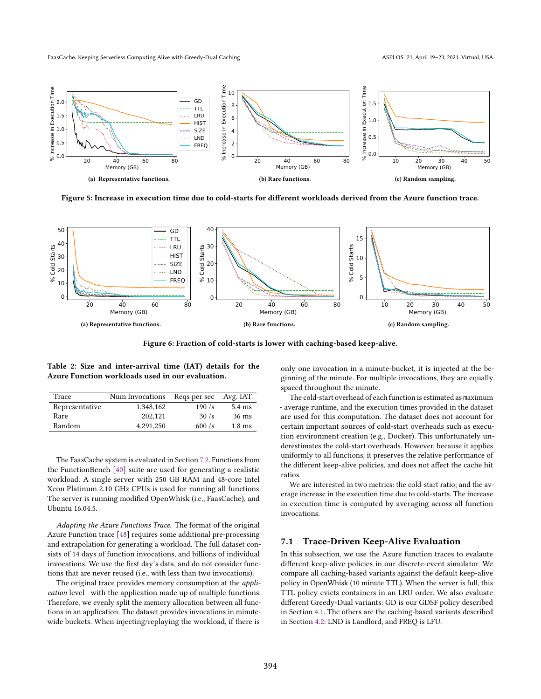<span id="page-8-2"></span><span id="page-8-1"></span>

<span id="page-8-3"></span>Figure 5: Increase in execution time due to cold-starts for different workloads derived from the Azure function trace.

<span id="page-8-5"></span>

Figure 6: Fraction of cold-starts is lower with caching-based keep-alive.

<span id="page-8-0"></span>Table 2: Size and inter-arrival time (IAT) details for the Azure Function workloads used in our evaluation.

| Trace          | Num Invocations | Regs per sec | Avg. IAT         |
|----------------|-----------------|--------------|------------------|
| Representative | 1.348.162       | 190/s        | $5.4 \text{ ms}$ |
| Rare           | 202.121         | 30/s         | 36 ms            |
| Random         | 4.291.250       | 600/s        | $1.8 \text{ ms}$ |

The FaasCache system is evaluated in Section [7.2.](#page-9-0) Functions from the FunctionBench [\[40\]](#page-14-11) suite are used for generating a realistic workload. A single server with 250 GB RAM and 48-core Intel Xeon Platinum 2.10 GHz CPUs is used for running all functions. The server is running modified OpenWhisk (i.e., FaasCache), and Ubuntu 16.04.5.

Adapting the Azure Functions Trace. The format of the original Azure Function trace [\[48\]](#page-14-10) requires some additional pre-processing and extrapolation for generating a workload. The full dataset consists of 14 days of function invocations, and billions of individual invocations. We use the first day's data, and do not consider functions that are never reused (i.e., with less than two invocations).

The original trace provides memory consumption at the *appli*cation level-with the application made up of multiple functions. Therefore, we evenly split the memory allocation between all functions in an application. The dataset provides invocations in minutewide buckets. When injecting/replaying the workload, if there is

<span id="page-8-4"></span>only one invocation in a minute-bucket, it is injected at the beginning of the minute. For multiple invocations, they are equally spaced throughout the minute.

The cold-start overhead of each function is estimated as maximum - average runtime, and the execution times provided in the dataset are used for this computation. The dataset does not account for certain important sources of cold-start overheads such as execution environment creation (e.g., Docker). This unfortunately underestimates the cold-start overheads. However, because it applies uniformly to all functions, it preserves the relative performance of the different keep-alive policies, and does not affect the cache hit ratios.

We are interested in two metrics: the cold-start ratio; and the average increase in the execution time due to cold-starts. The increase in execution time is computed by averaging across all function invocations.

#### 7.1 Trace-Driven Keep-Alive Evaluation

In this subsection, we use the Azure function traces to evalaute different keep-alive policies in our discrete-event simulator. We compare all caching-based variants against the default keep-alive policy in OpenWhisk (10 minute TTL). When the server is full, this TTL policy evicts containers in an LRU order. We also evaluate different Greedy-Dual variants: GD is our GDSF policy described in Section [4.1.](#page-4-1) The others are the caching-based variants described in Section [4.2:](#page-5-1) LND is Landlord, and FREQ is LFU.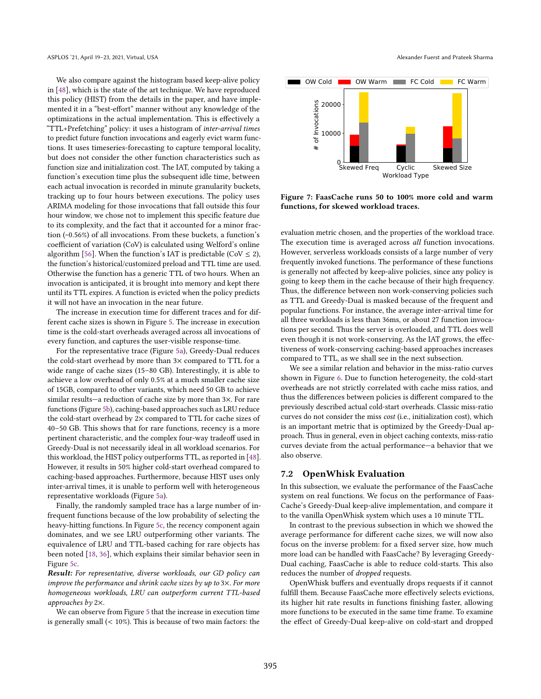We also compare against the histogram based keep-alive policy in [\[48\]](#page-14-10), which is the state of the art technique. We have reproduced this policy (HIST) from the details in the paper, and have implemented it in a "best-effort" manner without any knowledge of the optimizations in the actual implementation. This is effectively a "TTL+Prefetching" policy: it uses a histogram of inter-arrival times to predict future function invocations and eagerly evict warm functions. It uses timeseries-forecasting to capture temporal locality, but does not consider the other function characteristics such as function size and initialization cost. The IAT, computed by taking a function's execution time plus the subsequent idle time, between each actual invocation is recorded in minute granularity buckets, tracking up to four hours between executions. The policy uses ARIMA modeling for those invocations that fall outside this four hour window, we chose not to implement this specific feature due to its complexity, and the fact that it accounted for a minor fraction (~0.56%) of all invocations. From these buckets, a function's coefficient of variation (CoV) is calculated using Welford's online algorithm [\[56\]](#page-14-29). When the function's IAT is predictable (CoV  $\leq$  2), the function's historical/customized preload and TTL time are used. Otherwise the function has a generic TTL of two hours. When an invocation is anticipated, it is brought into memory and kept there until its TTL expires. A function is evicted when the policy predicts it will not have an invocation in the near future.

The increase in execution time for different traces and for different cache sizes is shown in Figure [5.](#page-8-1) The increase in execution time is the cold-start overheads averaged across all invocations of every function, and captures the user-visible response-time.

For the representative trace (Figure [5a\)](#page-8-2), Greedy-Dual reduces the cold-start overhead by more than 3× compared to TTL for a wide range of cache sizes (15–80 GB). Interestingly, it is able to achieve a low overhead of only 0.5% at a much smaller cache size of 15GB, compared to other variants, which need 50 GB to achieve similar results—a reduction of cache size by more than  $3\times$ . For rare functions (Figure [5b\)](#page-8-3), caching-based approaches such as LRU reduce the cold-start overhead by 2× compared to TTL for cache sizes of 40–50 GB. This shows that for rare functions, recency is a more pertinent characteristic, and the complex four-way tradeoff used in Greedy-Dual is not necessarily ideal in all workload scenarios. For this workload, the HIST policy outperforms TTL, as reported in [\[48\]](#page-14-10). However, it results in 50% higher cold-start overhead compared to caching-based approaches. Furthermore, because HIST uses only inter-arrival times, it is unable to perform well with heterogeneous representative workloads (Figure [5a\)](#page-8-2).

Finally, the randomly sampled trace has a large number of infrequent functions because of the low probability of selecting the heavy-hitting functions. In Figure [5c,](#page-8-4) the recency component again dominates, and we see LRU outperforming other variants. The equivalence of LRU and TTL-based caching for rare objects has been noted [\[18,](#page-13-21) [36\]](#page-14-30), which explains their similar behavior seen in Figure [5c.](#page-8-4)

Result: For representative, diverse workloads, our GD policy can improve the performance and shrink cache sizes by up to 3×. For more homogeneous workloads, LRU can outperform current TTL-based approaches by 2×.

We can observe from Figure [5](#page-8-1) that the increase in execution time is generally small (< 10%). This is because of two main factors: the

<span id="page-9-1"></span>

Figure 7: FaasCache runs 50 to 100% more cold and warm functions, for skewed workload traces.

evaluation metric chosen, and the properties of the workload trace. The execution time is averaged across all function invocations. However, serverless workloads consists of a large number of very frequently invoked functions. The performance of these functions is generally not affected by keep-alive policies, since any policy is going to keep them in the cache because of their high frequency. Thus, the difference between non work-conserving policies such as TTL and Greedy-Dual is masked because of the frequent and popular functions. For instance, the average inter-arrival time for all three workloads is less than 36ms, or about 27 function invocations per second. Thus the server is overloaded, and TTL does well even though it is not work-conserving. As the IAT grows, the effectiveness of work-conserving caching-based approaches increases compared to TTL, as we shall see in the next subsection.

We see a similar relation and behavior in the miss-ratio curves shown in Figure [6.](#page-8-5) Due to function heterogeneity, the cold-start overheads are not strictly correlated with cache miss ratios, and thus the differences between policies is different compared to the previously described actual cold-start overheads. Classic miss-ratio curves do not consider the miss cost (i.e., initialization cost), which is an important metric that is optimized by the Greedy-Dual approach. Thus in general, even in object caching contexts, miss-ratio curves deviate from the actual performance-a behavior that we also observe.

#### <span id="page-9-0"></span>7.2 OpenWhisk Evaluation

In this subsection, we evaluate the performance of the FaasCache system on real functions. We focus on the performance of Faas-Cache's Greedy-Dual keep-alive implementation, and compare it to the vanilla OpenWhisk system which uses a 10 minute TTL.

In contrast to the previous subsection in which we showed the average performance for different cache sizes, we will now also focus on the inverse problem: for a fixed server size, how much more load can be handled with FaasCache? By leveraging Greedy-Dual caching, FaasCache is able to reduce cold-starts. This also reduces the number of dropped requests.

OpenWhisk buffers and eventually drops requests if it cannot fulfill them. Because FaasCache more effectively selects evictions, its higher hit rate results in functions finishing faster, allowing more functions to be executed in the same time frame. To examine the effect of Greedy-Dual keep-alive on cold-start and dropped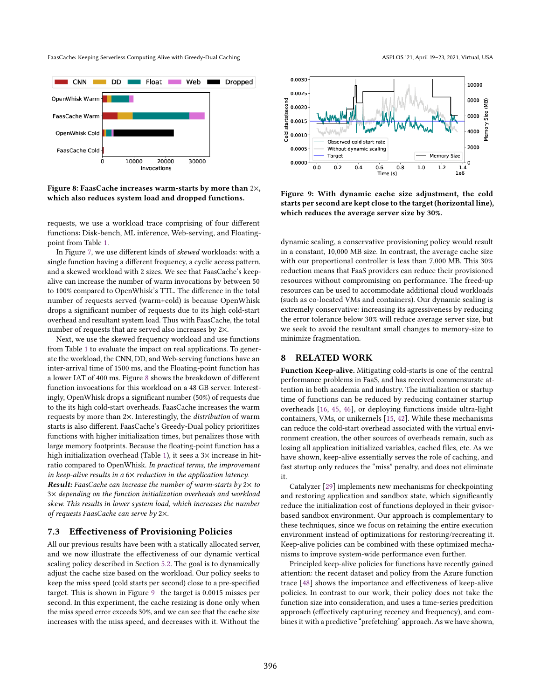<span id="page-10-0"></span>

Figure 8: FaasCache increases warm-starts by more than 2×, which also reduces system load and dropped functions.

requests, we use a workload trace comprising of four different functions: Disk-bench, ML inference, Web-serving, and Floatingpoint from Table [1.](#page-2-0)

In Figure [7,](#page-9-1) we use different kinds of skewed workloads: with a single function having a different frequency, a cyclic access pattern, and a skewed workload with 2 sizes. We see that FaasCache's keepalive can increase the number of warm invocations by between 50 to 100% compared to OpenWhisk's TTL. The difference in the total number of requests served (warm+cold) is because OpenWhisk drops a significant number of requests due to its high cold-start overhead and resultant system load. Thus with FaasCache, the total number of requests that are served also increases by 2×.

Next, we use the skewed frequency workload and use functions from Table [1](#page-2-0) to evaluate the impact on real applications. To generate the workload, the CNN, DD, and Web-serving functions have an inter-arrival time of 1500 ms, and the Floating-point function has a lower IAT of 400 ms. Figure [8](#page-10-0) shows the breakdown of different function invocations for this workload on a 48 GB server. Interestingly, OpenWhisk drops a significant number (50%) of requests due to the its high cold-start overheads. FaasCache increases the warm requests by more than 2×. Interestingly, the distribution of warm starts is also different. FaasCache's Greedy-Dual policy prioritizes functions with higher initialization times, but penalizes those with large memory footprints. Because the floating-point function has a high initialization overhead (Table [1\)](#page-2-0), it sees a 3× increase in hitratio compared to OpenWhisk. In practical terms, the improvement in keep-alive results in a  $6 \times$  reduction in the application latency.

**Result:** FaasCache can increase the number of warm-starts by  $2 \times$  to 3× depending on the function initialization overheads and workload skew. This results in lower system load, which increases the number of requests FaasCache can serve by 2×.

#### 7.3 Effectiveness of Provisioning Policies

All our previous results have been with a statically allocated server, and we now illustrate the effectiveness of our dynamic vertical scaling policy described in Section [5.2.](#page-6-1) The goal is to dynamically adjust the cache size based on the workload. Our policy seeks to keep the miss speed (cold starts per second) close to a pre-specified target. This is shown in Figure 9-the target is 0.0015 misses per second. In this experiment, the cache resizing is done only when the miss speed error exceeds 30%, and we can see that the cache size increases with the miss speed, and decreases with it. Without the

<span id="page-10-1"></span>

Figure 9: With dynamic cache size adjustment, the cold starts per second are kept close to the target (horizontal line),

which reduces the average server size by 30%.

dynamic scaling, a conservative provisioning policy would result in a constant, 10,000 MB size. In contrast, the average cache size with our proportional controller is less than 7,000 MB. This 30% reduction means that FaaS providers can reduce their provisioned resources without compromising on performance. The freed-up resources can be used to accommodate additional cloud workloads (such as co-located VMs and containers). Our dynamic scaling is extremely conservative: increasing its agressiveness by reducing the error tolerance below 30% will reduce average server size, but we seek to avoid the resultant small changes to memory-size to minimize fragmentation.

#### 8 RELATED WORK

Function Keep-alive. Mitigating cold-starts is one of the central performance problems in FaaS, and has received commensurate attention in both academia and industry. The initialization or startup time of functions can be reduced by reducing container startup overheads [\[16,](#page-13-19) [45,](#page-14-31) [46\]](#page-14-7), or deploying functions inside ultra-light containers, VMs, or unikernels [\[15,](#page-13-14) [42\]](#page-14-32). While these mechanisms can reduce the cold-start overhead associated with the virtual environment creation, the other sources of overheads remain, such as losing all application initialized variables, cached files, etc. As we have shown, keep-alive essentially serves the role of caching, and fast startup only reduces the "miss" penalty, and does not eliminate it.

Catalyzer [\[29\]](#page-14-33) implements new mechanisms for checkpointing and restoring application and sandbox state, which significantly reduce the initialization cost of functions deployed in their gvisorbased sandbox environment. Our approach is complementary to these techniques, since we focus on retaining the entire execution environment instead of optimizations for restoring/recreating it. Keep-alive policies can be combined with these optimized mechanisms to improve system-wide performance even further.

Principled keep-alive policies for functions have recently gained attention: the recent dataset and policy from the Azure function trace [\[48\]](#page-14-10) shows the importance and effectiveness of keep-alive policies. In contrast to our work, their policy does not take the function size into consideration, and uses a time-series predcition approach (effectively capturing recency and frequency), and combines it with a predictive "prefetching" approach. As we have shown,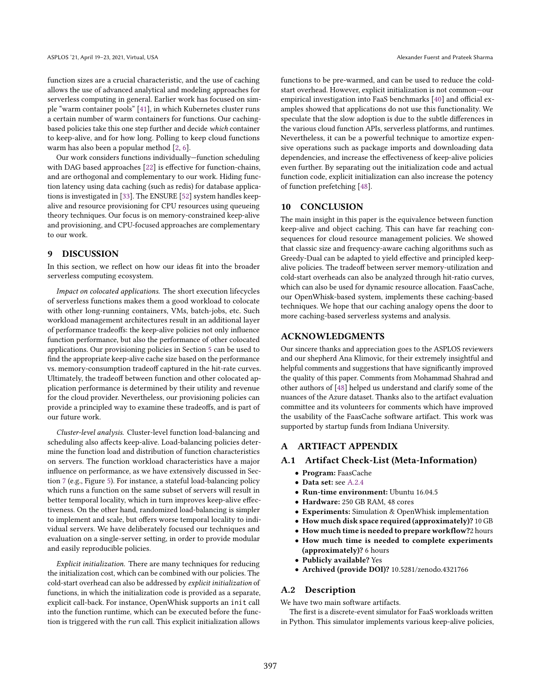function sizes are a crucial characteristic, and the use of caching allows the use of advanced analytical and modeling approaches for serverless computing in general. Earlier work has focused on sim-ple "warm container pools" [\[41\]](#page-14-34), in which Kubernetes cluster runs a certain number of warm containers for functions. Our cachingbased policies take this one step further and decide which container to keep-alive, and for how long. Polling to keep cloud functions warm has also been a popular method [\[2,](#page-13-6) [6\]](#page-13-7).

Our work considers functions individually–function scheduling with DAG based approaches [\[22\]](#page-13-22) is effective for function-chains, and are orthogonal and complementary to our work. Hiding function latency using data caching (such as redis) for database applications is investigated in [\[33\]](#page-14-35). The ENSURE [\[52\]](#page-14-36) system handles keepalive and resource provisioning for CPU resources using queueing theory techniques. Our focus is on memory-constrained keep-alive and provisioning, and CPU-focused approaches are complementary to our work.

#### 9 DISCUSSION

In this section, we reflect on how our ideas fit into the broader serverless computing ecosystem.

Impact on colocated applications. The short execution lifecycles of serverless functions makes them a good workload to colocate with other long-running containers, VMs, batch-jobs, etc. Such workload management architectures result in an additional layer of performance tradeoffs: the keep-alive policies not only influence function performance, but also the performance of other colocated applications. Our provisioning policies in Section [5](#page-5-0) can be used to find the appropriate keep-alive cache size based on the performance vs. memory-consumption tradeoff captured in the hit-rate curves. Ultimately, the tradeoff between function and other colocated application performance is determined by their utility and revenue for the cloud provider. Nevertheless, our provisioning policies can provide a principled way to examine these tradeoffs, and is part of our future work.

Cluster-level analysis. Cluster-level function load-balancing and scheduling also affects keep-alive. Load-balancing policies determine the function load and distribution of function characteristics on servers. The function workload characteristics have a major influence on performance, as we have extensively discussed in Section [7](#page-7-1) (e.g., Figure [5\)](#page-8-1). For instance, a stateful load-balancing policy which runs a function on the same subset of servers will result in better temporal locality, which in turn improves keep-alive effectiveness. On the other hand, randomized load-balancing is simpler to implement and scale, but offers worse temporal locality to individual servers. We have deliberately focused our techniques and evaluation on a single-server setting, in order to provide modular and easily reproducible policies.

Explicit initialization. There are many techniques for reducing the initialization cost, which can be combined with our policies. The cold-start overhead can also be addressed by explicit initialization of functions, in which the initialization code is provided as a separate, explicit call-back. For instance, OpenWhisk supports an init call into the function runtime, which can be executed before the function is triggered with the run call. This explicit initialization allows

functions to be pre-warmed, and can be used to reduce the coldstart overhead. However, explicit initialization is not common-our empirical investigation into FaaS benchmarks [\[40\]](#page-14-11) and official examples showed that applications do not use this functionality. We speculate that the slow adoption is due to the subtle differences in the various cloud function APIs, serverless platforms, and runtimes. Nevertheless, it can be a powerful technique to amortize expensive operations such as package imports and downloading data dependencies, and increase the effectiveness of keep-alive policies even further. By separating out the initialization code and actual function code, explicit initialization can also increase the potency of function prefetching [\[48\]](#page-14-10).

#### 10 CONCLUSION

The main insight in this paper is the equivalence between function keep-alive and object caching. This can have far reaching consequences for cloud resource management policies. We showed that classic size and frequency-aware caching algorithms such as Greedy-Dual can be adapted to yield effective and principled keepalive policies. The tradeoff between server memory-utilization and cold-start overheads can also be analyzed through hit-ratio curves, which can also be used for dynamic resource allocation. FaasCache, our OpenWhisk-based system, implements these caching-based techniques. We hope that our caching analogy opens the door to more caching-based serverless systems and analysis.

#### ACKNOWLEDGMENTS

Our sincere thanks and appreciation goes to the ASPLOS reviewers and our shepherd Ana Klimovic, for their extremely insightful and helpful comments and suggestions that have significantly improved the quality of this paper. Comments from Mohammad Shahrad and other authors of [\[48\]](#page-14-10) helped us understand and clarify some of the nuances of the Azure dataset. Thanks also to the artifact evaluation committee and its volunteers for comments which have improved the usability of the FaasCache software artifact. This work was supported by startup funds from Indiana University.

# A ARTIFACT APPENDIX

# A.1 Artifact Check-List (Meta-Information)

- Program: FaasCache
- Data set: see [A.2.4](#page-12-0)
- Run-time environment: Ubuntu 16.04.5
- Hardware: 250 GB RAM, 48 cores
- Experiments: Simulation & OpenWhisk implementation
- How much disk space required (approximately)? 10 GB
- How much time is needed to prepare workflow?2 hours
- How much time is needed to complete experiments (approximately)? 6 hours
- Publicly available? Yes
- Archived (provide DOI)? 10.5281/zenodo.4321766

#### A.2 Description

We have two main software artifacts.

The first is a discrete-event simulator for FaaS workloads written in Python. This simulator implements various keep-alive policies,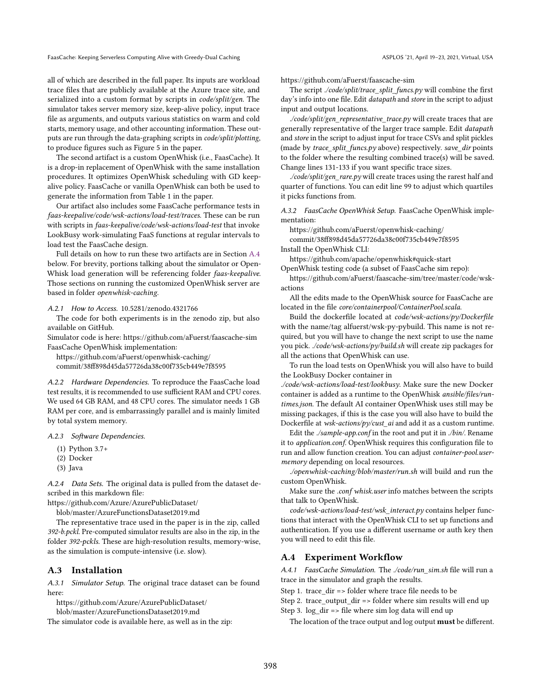all of which are described in the full paper. Its inputs are workload trace files that are publicly available at the Azure trace site, and serialized into a custom format by scripts in *code/split/gen*. The simulator takes server memory size, keep-alive policy, input trace file as arguments, and outputs various statistics on warm and cold starts, memory usage, and other accounting information. These outputs are run through the data-graphing scripts in code/split/plotting, to produce figures such as Figure 5 in the paper.

The second artifact is a custom OpenWhisk (i.e., FaasCache). It is a drop-in replacement of OpenWhisk with the same installation procedures. It optimizes OpenWhisk scheduling with GD keepalive policy. FaasCache or vanilla OpenWhisk can both be used to generate the information from Table 1 in the paper.

Our artifact also includes some FaasCache performance tests in faas-keepalive/code/wsk-actions/load-test/traces. These can be run with scripts in faas-keepalive/code/wsk-actions/load-test that invoke LookBusy work-simulating FaaS functions at regular intervals to load test the FaasCache design.

Full details on how to run these two artifacts are in Section [A.4](#page-12-1) below. For brevity, portions talking about the simulator or Open-Whisk load generation will be referencing folder faas-keepalive. Those sections on running the customized OpenWhisk server are based in folder openwhisk-caching.

#### A.2.1 How to Access. 10.5281/zenodo.4321766

The code for both experiments is in the zenodo zip, but also available on GitHub.

Simulator code is here: https://github.com/aFuerst/faascache-sim FaasCache OpenWhisk implementation:

https://github.com/aFuerst/openwhisk-caching/ commit/38ff898d45da57726da38c00f735cb449e7f8595

A.2.2 Hardware Dependencies. To reproduce the FaasCache load test results, it is recommended to use sufficient RAM and CPU cores. We used 64 GB RAM, and 48 CPU cores. The simulator needs 1 GB RAM per core, and is embarrassingly parallel and is mainly limited by total system memory.

A.2.3 Software Dependencies.

- (1) Python 3.7+
- (2) Docker
- (3) Java

<span id="page-12-0"></span>A.2.4 Data Sets. The original data is pulled from the dataset described in this markdown file:

https://github.com/Azure/AzurePublicDataset/

blob/master/AzureFunctionsDataset2019.md

The representative trace used in the paper is in the zip, called 392-b.pckl. Pre-computed simulator results are also in the zip, in the folder 392-pckls. These are high-resolution results, memory-wise, as the simulation is compute-intensive (i.e. slow).

#### A.3 Installation

A.3.1 Simulator Setup. The original trace dataset can be found here:

https://github.com/Azure/AzurePublicDataset/

blob/master/AzureFunctionsDataset2019.md

The simulator code is available here, as well as in the zip:

https://github.com/aFuerst/faascache-sim

The script ./code/split/trace\_split\_funcs.py will combine the first day's info into one file. Edit datapath and store in the script to adjust input and output locations.

./code/split/gen\_representative\_trace.py will create traces that are generally representative of the larger trace sample. Edit datapath and store in the script to adjust input for trace CSVs and split pickles (made by trace\_split\_funcs.py above) respectively. save\_dir points to the folder where the resulting combined trace(s) will be saved. Change lines 131-133 if you want specific trace sizes.

./code/split/gen\_rare.py will create traces using the rarest half and quarter of functions. You can edit line 99 to adjust which quartiles it picks functions from.

A.3.2 FaasCache OpenWhisk Setup. FaasCache OpenWhisk implementation:

https://github.com/aFuerst/openwhisk-caching/

commit/38ff898d45da57726da38c00f735cb449e7f8595 Install the OpenWhisk CLI:

https://github.com/apache/openwhisk#quick-start OpenWhisk testing code (a subset of FaasCache sim repo):

https://github.com/aFuerst/faascache-sim/tree/master/code/wskactions

All the edits made to the OpenWhisk source for FaasCache are located in the file core/containerpool/ContainerPool.scala.

Build the dockerfile located at code/wsk-actions/py/Dockerfile with the name/tag alfuerst/wsk-py-pybuild. This name is not required, but you will have to change the next script to use the name you pick. ./code/wsk-actions/py/build.sh will create zip packages for all the actions that OpenWhisk can use.

To run the load tests on OpenWhisk you will also have to build the LookBusy Docker container in

./code/wsk-actions/load-test/lookbusy. Make sure the new Docker container is added as a runtime to the OpenWhisk ansible/files/runtimes.json. The default AI container OpenWhisk uses still may be missing packages, if this is the case you will also have to build the Dockerfile at wsk-actions/py/cust\_ai and add it as a custom runtime.

Edit the ./sample-app.conf in the root and put it in ./bin/. Rename it to application.conf. OpenWhisk requires this configuration file to run and allow function creation. You can adjust container-pool.usermemory depending on local resources.

./openwhisk-caching/blob/master/run.sh will build and run the custom OpenWhisk.

Make sure the .conf whisk.user info matches between the scripts that talk to OpenWhisk.

code/wsk-actions/load-test/wsk\_interact.py contains helper functions that interact with the OpenWhisk CLI to set up functions and authentication. If you use a different username or auth key then you will need to edit this file.

#### <span id="page-12-1"></span>A.4 Experiment Workflow

A.4.1 FaasCache Simulation. The ./code/run\_sim.sh file will run a trace in the simulator and graph the results.

Step 1. trace\_dir => folder where trace file needs to be

Step 2. trace\_output\_dir => folder where sim results will end up

Step 3. log\_dir => file where sim log data will end up

The location of the trace output and log output **must** be different.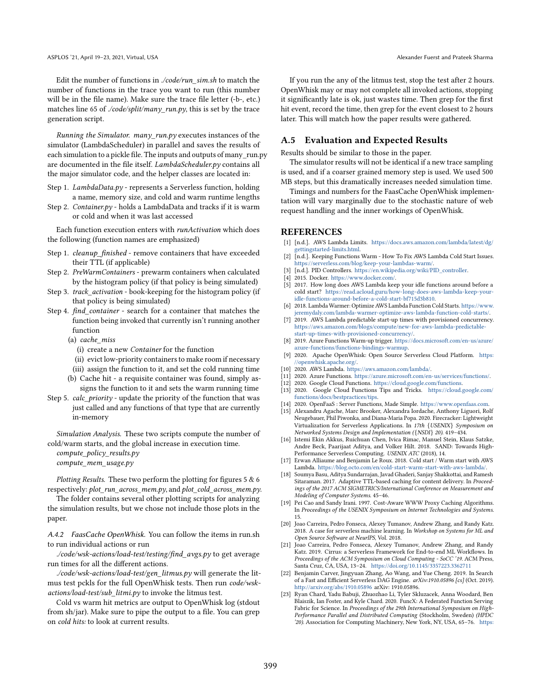Edit the number of functions in ./code/run\_sim.sh to match the number of functions in the trace you want to run (this number will be in the file name). Make sure the trace file letter (-b-, etc.) matches line 65 of ./code/split/many\_run.py, this is set by the trace generation script.

Running the Simulator. many  $run.py$  executes instances of the simulator (LambdaScheduler) in parallel and saves the results of each simulation to a pickle file. The inputs and outputs of many\_run.py are documented in the file itself. LambdaScheduler.py contains all the major simulator code, and the helper classes are located in:

- Step 1. LambdaData.py represents a Serverless function, holding a name, memory size, and cold and warm runtime lengths
- Step 2. Container.py holds a LambdaData and tracks if it is warm or cold and when it was last accessed

Each function execution enters with runActivation which does the following (function names are emphasized)

- Step 1. cleanup\_finished remove containers that have exceeded their TTL (if applicable)
- Step 2. PreWarmContainers prewarm containers when calculated by the histogram policy (if that policy is being simulated)
- Step 3. track\_activation book-keeping for the histogram policy (if that policy is being simulated)
- Step 4. find\_container search for a container that matches the function being invoked that currently isn't running another function
	- (a) cache\_miss
		- (i) create a new Container for the function
		- (ii) evict low-priority containers to make room if necessary
	- (iii) assign the function to it, and set the cold running time
	- (b) Cache hit a requisite container was found, simply assigns the function to it and sets the warm running time
- Step 5. *calc\_priority* update the priority of the function that was just called and any functions of that type that are currently in-memory

Simulation Analysis. These two scripts compute the number of cold/warm starts, and the global increase in execution time.

compute\_policy\_results.py compute\_mem\_usage.py

Plotting Results. These two perform the plotting for figures 5 & 6 respectively: plot\_run\_across\_mem.py, and plot\_cold\_across\_mem.py.

The folder contains several other plotting scripts for analyzing the simulation results, but we chose not include those plots in the paper.

A.4.2 FaasCache OpenWhisk. You can follow the items in run.sh to run individual actions or run

./code/wsk-actions/load-test/testing/find\_avgs.py to get average run times for all the different actions.

./code/wsk-actions/load-test/gen\_litmus.py will generate the litmus test pckls for the full OpenWhisk tests. Then run code/wskactions/load-test/sub\_litmi.py to invoke the litmus test.

Cold vs warm hit metrics are output to OpenWhisk log (stdout from sh/jar). Make sure to pipe the output to a file. You can grep on cold hits: to look at current results.

If you run the any of the litmus test, stop the test after 2 hours. OpenWhisk may or may not complete all invoked actions, stopping it significantly late is ok, just wastes time. Then grep for the first hit event, record the time, then grep for the event closest to 2 hours later. This will match how the paper results were gathered.

## A.5 Evaluation and Expected Results

Results should be similar to those in the paper.

The simulator results will not be identical if a new trace sampling is used, and if a coarser grained memory step is used. We used 500 MB steps, but this dramatically increases needed simulation time.

Timings and numbers for the FaasCache OpenWhisk implementation will vary marginally due to the stochastic nature of web request handling and the inner workings of OpenWhisk.

#### **REFERENCES**

- <span id="page-13-8"></span>[1] [n.d.]. AWS Lambda Limits. [https://docs.aws.amazon.com/lambda/latest/dg/](https://docs.aws.amazon.com/lambda/latest/dg/gettingstarted-limits.html) [gettingstarted-limits.html.](https://docs.aws.amazon.com/lambda/latest/dg/gettingstarted-limits.html)
- <span id="page-13-6"></span>[2]  $[$ n.d.]. Keeping Functions Warm - How To Fix AWS Lambda Cold Start Issues. [https://serverless.com/blog/keep-your-lambdas-warm/.](https://serverless.com/blog/keep-your-lambdas-warm/)
- <span id="page-13-20"></span>[n.d.]. PID Controllers. [https://en.wikipedia.org/wiki/PID\\_controller.](https://en.wikipedia.org/wiki/PID_controller)
- <span id="page-13-13"></span>[4] 2015. Docker. [https://www.docker.com/.](https://www.docker.com/)
- <span id="page-13-9"></span>[5] 2017. How long does AWS Lambda keep your idle functions around before a cold start? [https://read.acloud.guru/how-long-does-aws-lambda-keep-your](https://read.acloud.guru/how-long-does-aws-lambda-keep-your-idle-functions-around-before-a-cold-start-bf715d3b810)[idle-functions-around-before-a-cold-start-bf715d3b810.](https://read.acloud.guru/how-long-does-aws-lambda-keep-your-idle-functions-around-before-a-cold-start-bf715d3b810)
- <span id="page-13-7"></span>[6] 2018. Lambda Warmer: Optimize AWS Lambda Function Cold Starts. [https://www.](https://www.jeremydaly.com/lambda-warmer-optimize-aws-lambda-function-cold-starts/) [jeremydaly.com/lambda-warmer-optimize-aws-lambda-function-cold-starts/.](https://www.jeremydaly.com/lambda-warmer-optimize-aws-lambda-function-cold-starts/)
- <span id="page-13-16"></span>[7] 2019. AWS Lambda predictable start-up times with provisioned concurrency. [https://aws.amazon.com/blogs/compute/new-for-aws-lambda-predictable](https://aws.amazon.com/blogs/compute/new-for-aws-lambda-predictable-start-up-times-with-provisioned-concurrency/)[start-up-times-with-provisioned-concurrency/.](https://aws.amazon.com/blogs/compute/new-for-aws-lambda-predictable-start-up-times-with-provisioned-concurrency/)
- <span id="page-13-17"></span>[8] 2019. Azure Functions Warm-up trigger. [https://docs.microsoft.com/en-us/azure/](https://docs.microsoft.com/en-us/azure/azure-functions/functions-bindings-warmup) [azure-functions/functions-bindings-warmup.](https://docs.microsoft.com/en-us/azure/azure-functions/functions-bindings-warmup)
- <span id="page-13-11"></span>[9] 2020. Apache OpenWhisk: Open Source Serverless Cloud Platform. [https:](https://openwhisk.apache.org/) [//openwhisk.apache.org/.](https://openwhisk.apache.org/)
- <span id="page-13-0"></span>[10] 2020. AWS Lambda. [https://aws.amazon.com/lambda/.](https://aws.amazon.com/lambda/)
- <span id="page-13-2"></span>[11] 2020. Azure Functions. [https://azure.microsoft.com/en-us/services/functions/.](https://azure.microsoft.com/en-us/services/functions/ )
- <span id="page-13-1"></span>[12] 2020. Google Cloud Functions. [https://cloud.google.com/functions.](https://cloud.google.com/functions )
- <span id="page-13-18"></span>[13] 2020. Google Cloud Functions Tips and Tricks. [https://cloud.google.com/](https://cloud.google.com/functions/docs/bestpractices/tips) [functions/docs/bestpractices/tips.](https://cloud.google.com/functions/docs/bestpractices/tips)
- <span id="page-13-12"></span>[14] 2020. OpenFaaS : Server Functions, Made Simple. [https://www.openfaas.com.](https://www.openfaas.com)
- <span id="page-13-14"></span>[15] Alexandru Agache, Marc Brooker, Alexandra Iordache, Anthony Liguori, Rolf Neugebauer, Phil Piwonka, and Diana-Maria Popa. 2020. Firecracker: Lightweight Virtualization for Serverless Applications. In 17th {USENIX} Symposium on Networked Systems Design and Implementation ({NSDI} 20). 419-434.
- <span id="page-13-19"></span>[16] Istemi Ekin Akkus, Ruichuan Chen, Ivica Rimac, Manuel Stein, Klaus Satzke, Andre Beck, Paarijaat Aditya, and Volker Hilt. 2018. SAND: Towards High-Performance Serverless Computing. USENIX ATC (2018), 14.
- <span id="page-13-10"></span>[17] Erwan Alliaume and Benjamin Le Roux. 2018. Cold start / Warm start with AWS Lambda. [https://blog.octo.com/en/cold-start-warm-start-with-aws-lambda/.](https://blog.octo.com/en/cold-start-warm-start-with-aws-lambda/)
- <span id="page-13-21"></span>[18] Soumya Basu, Aditya Sundarrajan, Javad Ghaderi, Sanjay Shakkottai, and Ramesh Sitaraman. 2017. Adaptive TTL-based caching for content delivery. In Proceedings of the 2017 ACM SIGMETRICS/International Conference on Measurement and Modeling of Computer Systems. 45-46.
- <span id="page-13-15"></span>[19] Pei Cao and Sandy Irani. 1997. Cost-Aware WWW Proxy Caching Algorithms. In Proceedings of the USENIX Symposium on Internet Technologies and Systems.
- <span id="page-13-4"></span>15. [20] Joao Carreira, Pedro Fonseca, Alexey Tumanov, Andrew Zhang, and Randy Katz. 2018. A case for serverless machine learning. In Workshop on Systems for ML and Open Source Software at NeurIPS, Vol. 2018.
- <span id="page-13-5"></span>[21] Joao Carreira, Pedro Fonseca, Alexey Tumanov, Andrew Zhang, and Randy Katz. 2019. Cirrus: a Serverless Framework for End-to-end ML Workflows. In Proceedings of the ACM Symposium on Cloud Computing - SoCC '19. ACM Press, Santa Cruz, CA, USA, 13-24. <https://doi.org/10.1145/3357223.3362711>
- <span id="page-13-22"></span>[22] Benjamin Carver, Jingyuan Zhang, Ao Wang, and Yue Cheng. 2019. In Search of a Fast and Efficient Serverless DAG Engine. arXiv:1910.05896 [cs] (Oct. 2019). <http://arxiv.org/abs/1910.05896> arXiv: 1910.05896.
- <span id="page-13-3"></span>[23] Ryan Chard, Yadu Babuji, Zhuozhao Li, Tyler Skluzacek, Anna Woodard, Ben Blaiszik, Ian Foster, and Kyle Chard. 2020. FuncX: A Federated Function Serving Fabric for Science. In Proceedings of the 29th International Symposium on High-Performance Parallel and Distributed Computing (Stockholm, Sweden) (HPDC '20). Association for Computing Machinery, New York, NY, USA, 65-76. [https:](https://doi.org/10.1145/3369583.3392683)